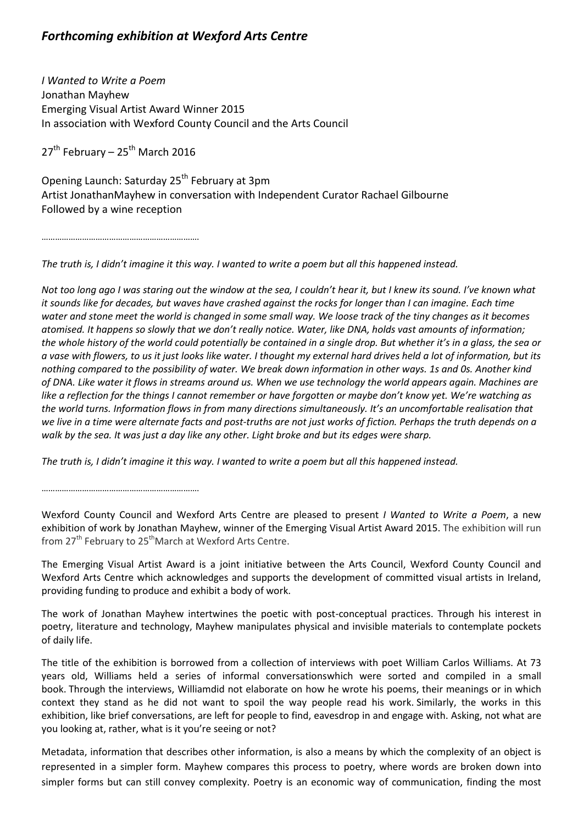## *Forthcoming exhibition at Wexford Arts Centre*

*I Wanted to Write a Poem* Jonathan Mayhew Emerging Visual Artist Award Winner 2015 In association with Wexford County Council and the Arts Council

 $27<sup>th</sup>$  February –  $25<sup>th</sup>$  March 2016

Opening Launch: Saturday 25<sup>th</sup> February at 3pm Artist JonathanMayhew in conversation with Independent Curator Rachael Gilbourne Followed by a wine reception

…………………………………………………………….

The truth is, I didn't imagine it this way. I wanted to write a poem but all this happened instead.

Not too long ago I was staring out the window at the sea, I couldn't hear it, but I knew its sound. I've known what it sounds like for decades, but waves have crashed against the rocks for longer than I can imagine. Each time water and stone meet the world is changed in some small way. We loose track of the tiny changes as it becomes atomised. It happens so slowly that we don't really notice. Water, like DNA, holds vast amounts of information; the whole history of the world could potentially be contained in a single drop. But whether it's in a glass, the sea or a vase with flowers, to us it just looks like water. I thought my external hard drives held a lot of information, but its nothing compared to the possibility of water. We break down information in other ways. 1s and Os. Another kind of DNA. Like water it flows in streams around us. When we use technology the world appears again. Machines are like a reflection for the things I cannot remember or have forgotten or maybe don't know yet. We're watching as *the world turns. Information flows in from many directions simultaneously. It's an uncomfortable realisation that* we live in a time were alternate facts and post-truths are not just works of fiction. Perhaps the truth depends on a walk by the sea. It was just a day like any other. Light broke and but its edges were sharp.

The truth is, I didn't imagine it this way. I wanted to write a poem but all this happened instead.

…………………………………………………………….

Wexford County Council and Wexford Arts Centre are pleased to present *I Wanted to Write a Poem*, a new exhibition of work by Jonathan Mayhew, winner of the Emerging Visual Artist Award 2015. The exhibition will run from  $27<sup>th</sup>$  February to  $25<sup>th</sup>$  March at Wexford Arts Centre.

The Emerging Visual Artist Award is a joint initiative between the Arts Council, Wexford County Council and Wexford Arts Centre which acknowledges and supports the development of committed visual artists in Ireland, providing funding to produce and exhibit a body of work.

The work of Jonathan Mayhew intertwines the poetic with post-conceptual practices. Through his interest in poetry, literature and technology, Mayhew manipulates physical and invisible materials to contemplate pockets of daily life.

The title of the exhibition is borrowed from a collection of interviews with poet William Carlos Williams. At 73 years old, Williams held a series of informal conversationswhich were sorted and compiled in a small book. Through the interviews, Williamdid not elaborate on how he wrote his poems, their meanings or in which context they stand as he did not want to spoil the way people read his work. Similarly, the works in this exhibition, like brief conversations, are left for people to find, eavesdrop in and engage with. Asking, not what are you looking at, rather, what is it you're seeing or not?

Metadata, information that describes other information, is also a means by which the complexity of an object is represented in a simpler form. Mayhew compares this process to poetry, where words are broken down into simpler forms but can still convey complexity. Poetry is an economic way of communication, finding the most